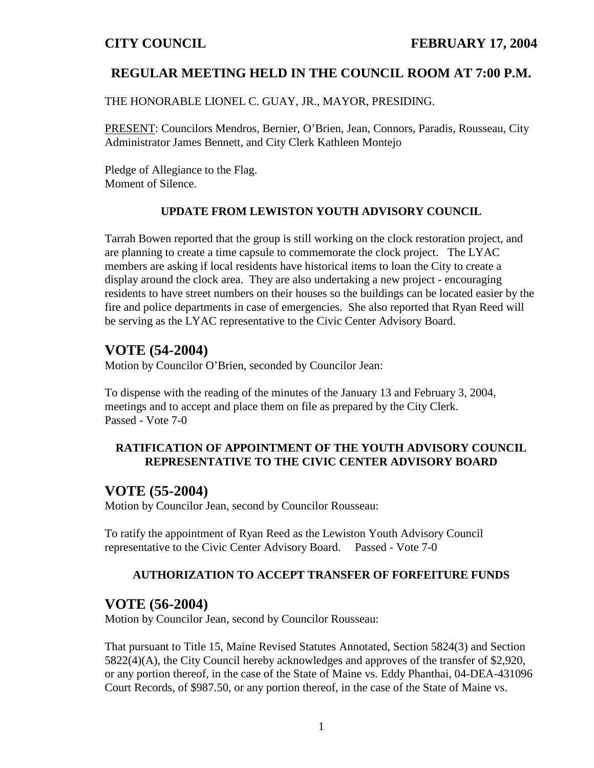# **REGULAR MEETING HELD IN THE COUNCIL ROOM AT 7:00 P.M.**

THE HONORABLE LIONEL C. GUAY, JR., MAYOR, PRESIDING.

PRESENT: Councilors Mendros, Bernier, O'Brien, Jean, Connors, Paradis, Rousseau, City Administrator James Bennett, and City Clerk Kathleen Montejo

Pledge of Allegiance to the Flag. Moment of Silence.

### **UPDATE FROM LEWISTON YOUTH ADVISORY COUNCIL**

Tarrah Bowen reported that the group is still working on the clock restoration project, and are planning to create a time capsule to commemorate the clock project. The LYAC members are asking if local residents have historical items to loan the City to create a display around the clock area. They are also undertaking a new project - encouraging residents to have street numbers on their houses so the buildings can be located easier by the fire and police departments in case of emergencies. She also reported that Ryan Reed will be serving as the LYAC representative to the Civic Center Advisory Board.

# **VOTE (54-2004)**

Motion by Councilor O'Brien, seconded by Councilor Jean:

To dispense with the reading of the minutes of the January 13 and February 3, 2004, meetings and to accept and place them on file as prepared by the City Clerk. Passed - Vote 7-0

## **RATIFICATION OF APPOINTMENT OF THE YOUTH ADVISORY COUNCIL REPRESENTATIVE TO THE CIVIC CENTER ADVISORY BOARD**

# **VOTE (55-2004)**

Motion by Councilor Jean, second by Councilor Rousseau:

To ratify the appointment of Ryan Reed as the Lewiston Youth Advisory Council representative to the Civic Center Advisory Board. Passed - Vote 7-0

## **AUTHORIZATION TO ACCEPT TRANSFER OF FORFEITURE FUNDS**

# **VOTE (56-2004)**

Motion by Councilor Jean, second by Councilor Rousseau:

That pursuant to Title 15, Maine Revised Statutes Annotated, Section 5824(3) and Section 5822(4)(A), the City Council hereby acknowledges and approves of the transfer of \$2,920, or any portion thereof, in the case of the State of Maine vs. Eddy Phanthai, 04-DEA-431096 Court Records, of \$987.50, or any portion thereof, in the case of the State of Maine vs.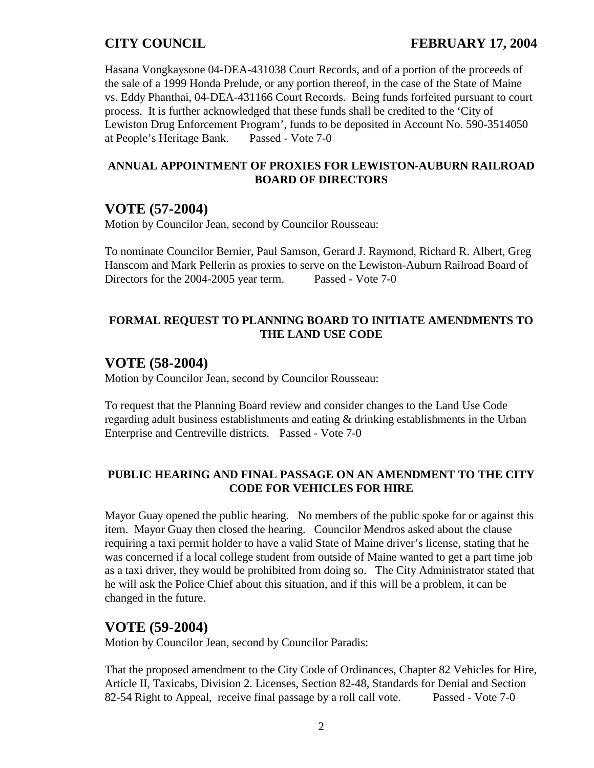Hasana Vongkaysone 04-DEA-431038 Court Records, and of a portion of the proceeds of the sale of a 1999 Honda Prelude, or any portion thereof, in the case of the State of Maine vs. Eddy Phanthai, 04-DEA-431166 Court Records. Being funds forfeited pursuant to court process. It is further acknowledged that these funds shall be credited to the 'City of Lewiston Drug Enforcement Program', funds to be deposited in Account No. 590-3514050 at People's Heritage Bank. Passed - Vote 7-0

### **ANNUAL APPOINTMENT OF PROXIES FOR LEWISTON-AUBURN RAILROAD BOARD OF DIRECTORS**

# **VOTE (57-2004)**

Motion by Councilor Jean, second by Councilor Rousseau:

To nominate Councilor Bernier, Paul Samson, Gerard J. Raymond, Richard R. Albert, Greg Hanscom and Mark Pellerin as proxies to serve on the Lewiston-Auburn Railroad Board of Directors for the 2004-2005 year term. Passed - Vote 7-0

## **FORMAL REQUEST TO PLANNING BOARD TO INITIATE AMENDMENTS TO THE LAND USE CODE**

# **VOTE (58-2004)**

Motion by Councilor Jean, second by Councilor Rousseau:

To request that the Planning Board review and consider changes to the Land Use Code regarding adult business establishments and eating & drinking establishments in the Urban Enterprise and Centreville districts. Passed - Vote 7-0

## **PUBLIC HEARING AND FINAL PASSAGE ON AN AMENDMENT TO THE CITY CODE FOR VEHICLES FOR HIRE**

Mayor Guay opened the public hearing. No members of the public spoke for or against this item. Mayor Guay then closed the hearing. Councilor Mendros asked about the clause requiring a taxi permit holder to have a valid State of Maine driver's license, stating that he was concerned if a local college student from outside of Maine wanted to get a part time job as a taxi driver, they would be prohibited from doing so. The City Administrator stated that he will ask the Police Chief about this situation, and if this will be a problem, it can be changed in the future.

# **VOTE (59-2004)**

Motion by Councilor Jean, second by Councilor Paradis:

That the proposed amendment to the City Code of Ordinances, Chapter 82 Vehicles for Hire, Article II, Taxicabs, Division 2. Licenses, Section 82-48, Standards for Denial and Section 82-54 Right to Appeal, receive final passage by a roll call vote. Passed - Vote 7-0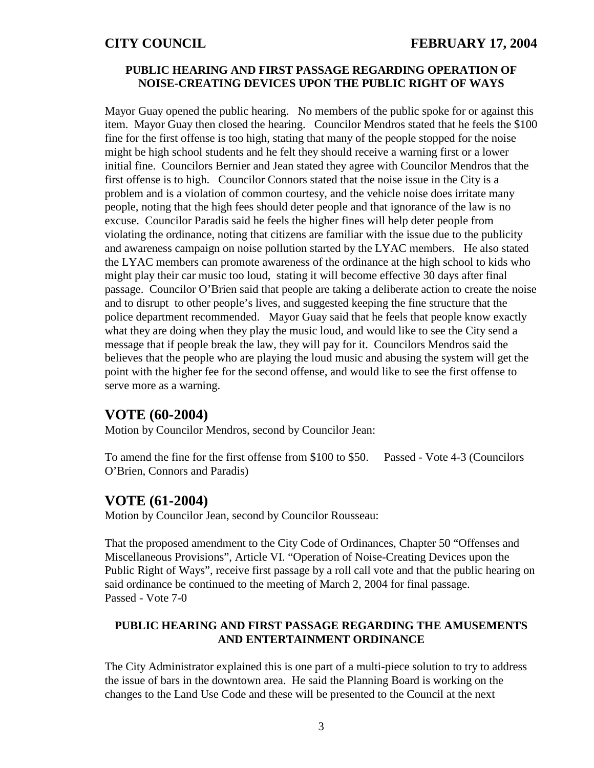## **CITY COUNCIL FEBRUARY 17, 2004**

### **PUBLIC HEARING AND FIRST PASSAGE REGARDING OPERATION OF NOISE-CREATING DEVICES UPON THE PUBLIC RIGHT OF WAYS**

Mayor Guay opened the public hearing. No members of the public spoke for or against this item. Mayor Guay then closed the hearing. Councilor Mendros stated that he feels the \$100 fine for the first offense is too high, stating that many of the people stopped for the noise might be high school students and he felt they should receive a warning first or a lower initial fine. Councilors Bernier and Jean stated they agree with Councilor Mendros that the first offense is to high. Councilor Connors stated that the noise issue in the City is a problem and is a violation of common courtesy, and the vehicle noise does irritate many people, noting that the high fees should deter people and that ignorance of the law is no excuse. Councilor Paradis said he feels the higher fines will help deter people from violating the ordinance, noting that citizens are familiar with the issue due to the publicity and awareness campaign on noise pollution started by the LYAC members. He also stated the LYAC members can promote awareness of the ordinance at the high school to kids who might play their car music too loud, stating it will become effective 30 days after final passage. Councilor O'Brien said that people are taking a deliberate action to create the noise and to disrupt to other people's lives, and suggested keeping the fine structure that the police department recommended. Mayor Guay said that he feels that people know exactly what they are doing when they play the music loud, and would like to see the City send a message that if people break the law, they will pay for it. Councilors Mendros said the believes that the people who are playing the loud music and abusing the system will get the point with the higher fee for the second offense, and would like to see the first offense to serve more as a warning.

## **VOTE (60-2004)**

Motion by Councilor Mendros, second by Councilor Jean:

To amend the fine for the first offense from \$100 to \$50. Passed - Vote 4-3 (Councilors O'Brien, Connors and Paradis)

### **VOTE (61-2004)**

Motion by Councilor Jean, second by Councilor Rousseau:

That the proposed amendment to the City Code of Ordinances, Chapter 50 "Offenses and Miscellaneous Provisions", Article VI. "Operation of Noise-Creating Devices upon the Public Right of Ways", receive first passage by a roll call vote and that the public hearing on said ordinance be continued to the meeting of March 2, 2004 for final passage. Passed - Vote 7-0

## **PUBLIC HEARING AND FIRST PASSAGE REGARDING THE AMUSEMENTS AND ENTERTAINMENT ORDINANCE**

The City Administrator explained this is one part of a multi-piece solution to try to address the issue of bars in the downtown area. He said the Planning Board is working on the changes to the Land Use Code and these will be presented to the Council at the next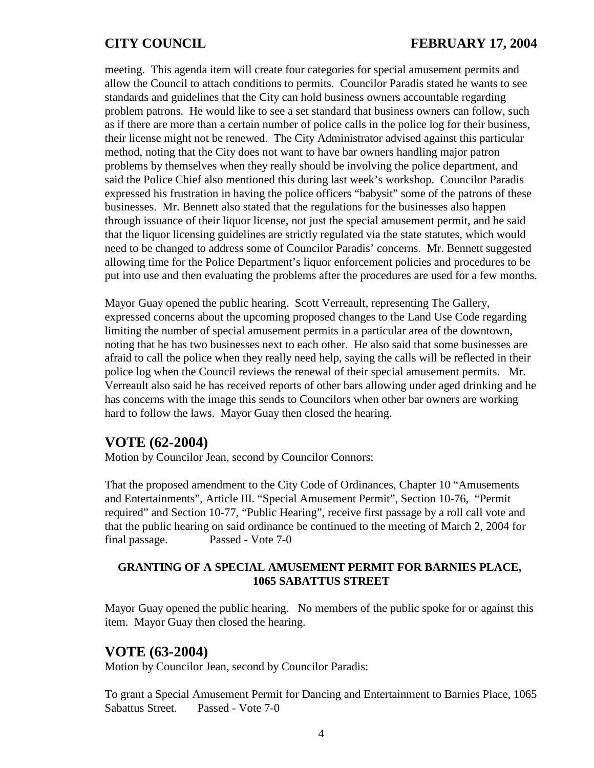meeting. This agenda item will create four categories for special amusement permits and allow the Council to attach conditions to permits. Councilor Paradis stated he wants to see standards and guidelines that the City can hold business owners accountable regarding problem patrons. He would like to see a set standard that business owners can follow, such as if there are more than a certain number of police calls in the police log for their business, their license might not be renewed. The City Administrator advised against this particular method, noting that the City does not want to have bar owners handling major patron problems by themselves when they really should be involving the police department, and said the Police Chief also mentioned this during last week's workshop. Councilor Paradis expressed his frustration in having the police officers "babysit" some of the patrons of these businesses. Mr. Bennett also stated that the regulations for the businesses also happen through issuance of their liquor license, not just the special amusement permit, and he said that the liquor licensing guidelines are strictly regulated via the state statutes, which would need to be changed to address some of Councilor Paradis' concerns. Mr. Bennett suggested allowing time for the Police Department's liquor enforcement policies and procedures to be put into use and then evaluating the problems after the procedures are used for a few months.

Mayor Guay opened the public hearing. Scott Verreault, representing The Gallery, expressed concerns about the upcoming proposed changes to the Land Use Code regarding limiting the number of special amusement permits in a particular area of the downtown, noting that he has two businesses next to each other. He also said that some businesses are afraid to call the police when they really need help, saying the calls will be reflected in their police log when the Council reviews the renewal of their special amusement permits. Mr. Verreault also said he has received reports of other bars allowing under aged drinking and he has concerns with the image this sends to Councilors when other bar owners are working hard to follow the laws. Mayor Guay then closed the hearing.

# **VOTE (62-2004)**

Motion by Councilor Jean, second by Councilor Connors:

That the proposed amendment to the City Code of Ordinances, Chapter 10 "Amusements and Entertainments", Article III. "Special Amusement Permit", Section 10-76, "Permit required" and Section 10-77, "Public Hearing", receive first passage by a roll call vote and that the public hearing on said ordinance be continued to the meeting of March 2, 2004 for final passage. Passed - Vote 7-0

### **GRANTING OF A SPECIAL AMUSEMENT PERMIT FOR BARNIES PLACE, 1065 SABATTUS STREET**

Mayor Guay opened the public hearing. No members of the public spoke for or against this item. Mayor Guay then closed the hearing.

## **VOTE (63-2004)**

Motion by Councilor Jean, second by Councilor Paradis:

To grant a Special Amusement Permit for Dancing and Entertainment to Barnies Place, 1065 Sabattus Street. Passed - Vote 7-0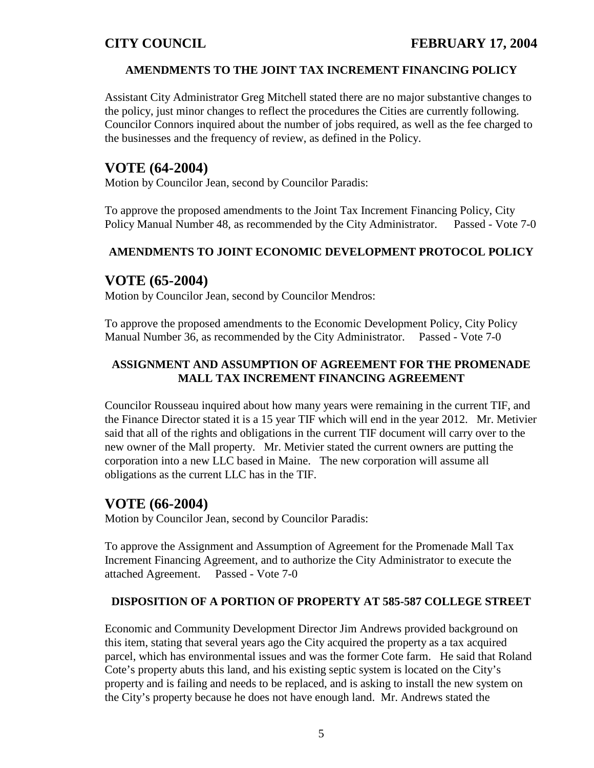## **AMENDMENTS TO THE JOINT TAX INCREMENT FINANCING POLICY**

Assistant City Administrator Greg Mitchell stated there are no major substantive changes to the policy, just minor changes to reflect the procedures the Cities are currently following. Councilor Connors inquired about the number of jobs required, as well as the fee charged to the businesses and the frequency of review, as defined in the Policy.

# **VOTE (64-2004)**

Motion by Councilor Jean, second by Councilor Paradis:

To approve the proposed amendments to the Joint Tax Increment Financing Policy, City Policy Manual Number 48, as recommended by the City Administrator. Passed - Vote 7-0

## **AMENDMENTS TO JOINT ECONOMIC DEVELOPMENT PROTOCOL POLICY**

# **VOTE (65-2004)**

Motion by Councilor Jean, second by Councilor Mendros:

To approve the proposed amendments to the Economic Development Policy, City Policy Manual Number 36, as recommended by the City Administrator. Passed - Vote 7-0

## **ASSIGNMENT AND ASSUMPTION OF AGREEMENT FOR THE PROMENADE MALL TAX INCREMENT FINANCING AGREEMENT**

Councilor Rousseau inquired about how many years were remaining in the current TIF, and the Finance Director stated it is a 15 year TIF which will end in the year 2012. Mr. Metivier said that all of the rights and obligations in the current TIF document will carry over to the new owner of the Mall property. Mr. Metivier stated the current owners are putting the corporation into a new LLC based in Maine. The new corporation will assume all obligations as the current LLC has in the TIF.

# **VOTE (66-2004)**

Motion by Councilor Jean, second by Councilor Paradis:

To approve the Assignment and Assumption of Agreement for the Promenade Mall Tax Increment Financing Agreement, and to authorize the City Administrator to execute the attached Agreement. Passed - Vote 7-0

## **DISPOSITION OF A PORTION OF PROPERTY AT 585-587 COLLEGE STREET**

Economic and Community Development Director Jim Andrews provided background on this item, stating that several years ago the City acquired the property as a tax acquired parcel, which has environmental issues and was the former Cote farm. He said that Roland Cote's property abuts this land, and his existing septic system is located on the City's property and is failing and needs to be replaced, and is asking to install the new system on the City's property because he does not have enough land. Mr. Andrews stated the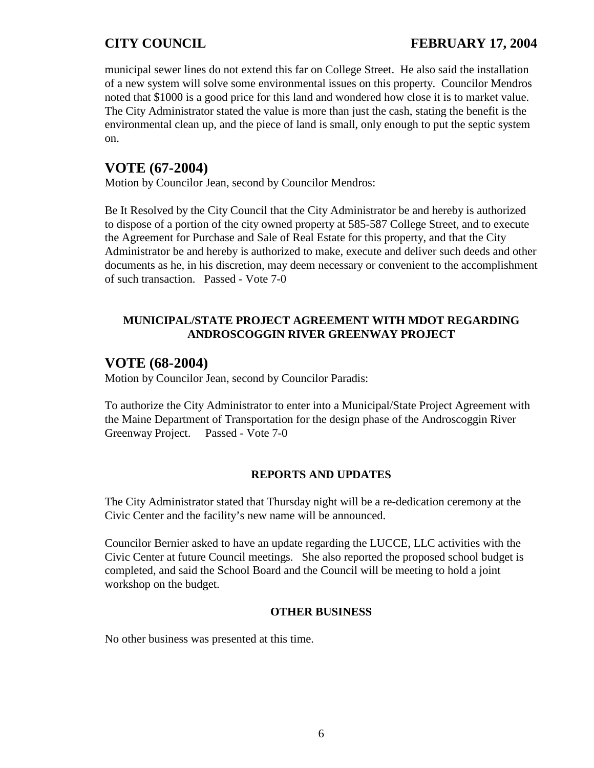municipal sewer lines do not extend this far on College Street. He also said the installation of a new system will solve some environmental issues on this property. Councilor Mendros noted that \$1000 is a good price for this land and wondered how close it is to market value. The City Administrator stated the value is more than just the cash, stating the benefit is the environmental clean up, and the piece of land is small, only enough to put the septic system on.

# **VOTE (67-2004)**

Motion by Councilor Jean, second by Councilor Mendros:

Be It Resolved by the City Council that the City Administrator be and hereby is authorized to dispose of a portion of the city owned property at 585-587 College Street, and to execute the Agreement for Purchase and Sale of Real Estate for this property, and that the City Administrator be and hereby is authorized to make, execute and deliver such deeds and other documents as he, in his discretion, may deem necessary or convenient to the accomplishment of such transaction. Passed - Vote 7-0

## **MUNICIPAL/STATE PROJECT AGREEMENT WITH MDOT REGARDING ANDROSCOGGIN RIVER GREENWAY PROJECT**

# **VOTE (68-2004)**

Motion by Councilor Jean, second by Councilor Paradis:

To authorize the City Administrator to enter into a Municipal/State Project Agreement with the Maine Department of Transportation for the design phase of the Androscoggin River Greenway Project. Passed - Vote 7-0

# **REPORTS AND UPDATES**

The City Administrator stated that Thursday night will be a re-dedication ceremony at the Civic Center and the facility's new name will be announced.

Councilor Bernier asked to have an update regarding the LUCCE, LLC activities with the Civic Center at future Council meetings. She also reported the proposed school budget is completed, and said the School Board and the Council will be meeting to hold a joint workshop on the budget.

## **OTHER BUSINESS**

No other business was presented at this time.